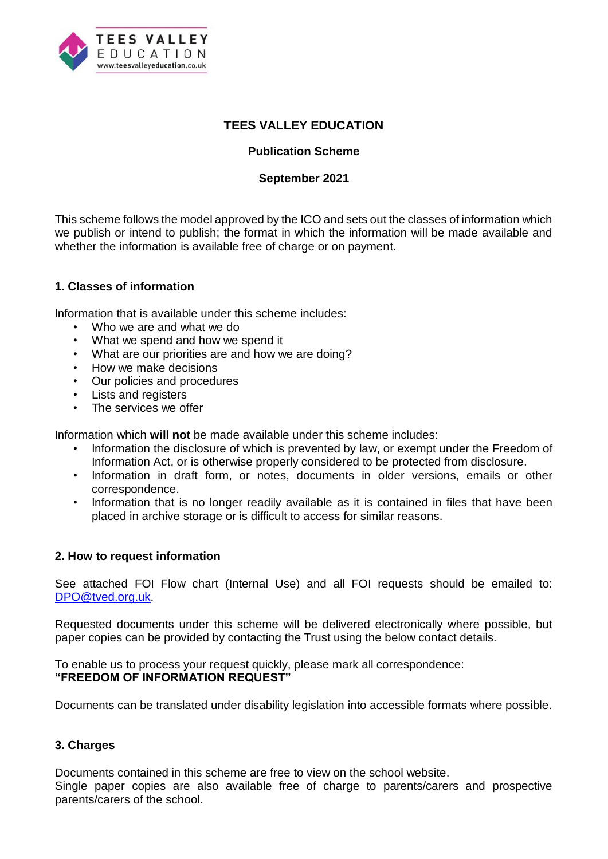

# **TEES VALLEY EDUCATION**

## **Publication Scheme**

#### **September 2021**

This scheme follows the model approved by the ICO and sets out the classes of information which we publish or intend to publish; the format in which the information will be made available and whether the information is available free of charge or on payment.

## **1. Classes of information**

Information that is available under this scheme includes:

- Who we are and what we do
- What we spend and how we spend it
- What are our priorities are and how we are doing?
- How we make decisions
- Our policies and procedures
- Lists and registers
- The services we offer

Information which **will not** be made available under this scheme includes:

- Information the disclosure of which is prevented by law, or exempt under the Freedom of Information Act, or is otherwise properly considered to be protected from disclosure.
- Information in draft form, or notes, documents in older versions, emails or other correspondence.
- Information that is no longer readily available as it is contained in files that have been placed in archive storage or is difficult to access for similar reasons.

#### **2. How to request information**

See attached FOI Flow chart (Internal Use) and all FOI requests should be emailed to: [DPO@tved.org.uk.](mailto:DPO@tved.org.uk)

Requested documents under this scheme will be delivered electronically where possible, but paper copies can be provided by contacting the Trust using the below contact details.

To enable us to process your request quickly, please mark all correspondence: **"FREEDOM OF INFORMATION REQUEST"** 

Documents can be translated under disability legislation into accessible formats where possible.

## **3. Charges**

Documents contained in this scheme are free to view on the school website. Single paper copies are also available free of charge to parents/carers and prospective parents/carers of the school.